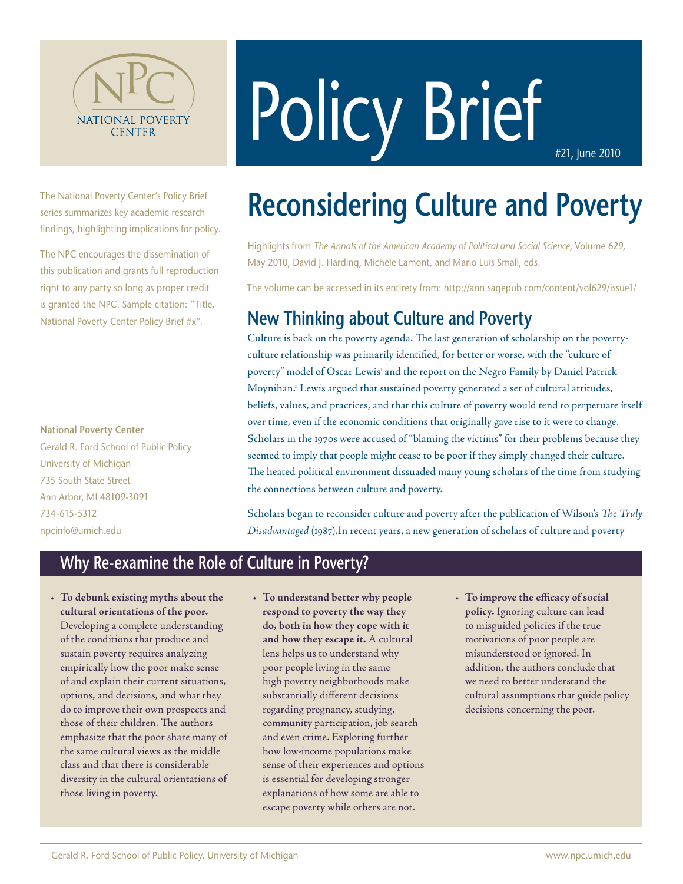

Policy Brief

The National Poverty Center's Policy Brief series summarizes key academic research findings, highlighting implications for policy.

The NPC encourages the dissemination of this publication and grants full reproduction right to any party so long as proper credit is granted the NPC. Sample citation: "Title, National Poverty Center Policy Brief #x".

#### **National Poverty Center**

Gerald R. Ford School of Public Policy University of Michigan 735 South State Street Ann Arbor, MI 48109-3091 734-615-5312 npcinfo@umich.edu

# **Reconsidering Culture and Poverty**

Highlights from *The Annals of the American Academy of Political and Social Science*, Volume 629, May 2010, David J. Harding, Michèle Lamont, and Mario Luis Small, eds.

The volume can be accessed in its entirety from: http://ann.sagepub.com/content/vol629/issue1/

### **New Thinking about Culture and Poverty**

Culture is back on the poverty agenda. The last generation of scholarship on the povertyculture relationship was primarily identified, for better or worse, with the "culture of poverty" model of Oscar Lewis<sup>1</sup> and the report on the Negro Family by Daniel Patrick Moynihan.<sup>2</sup> Lewis argued that sustained poverty generated a set of cultural attitudes, beliefs, values, and practices, and that this culture of poverty would tend to perpetuate itself over time, even if the economic conditions that originally gave rise to it were to change. Scholars in the 1970s were accused of "blaming the victims" for their problems because they seemed to imply that people might cease to be poor if they simply changed their culture. The heated political environment dissuaded many young scholars of the time from studying the connections between culture and poverty.

Scholars began to reconsider culture and poverty after the publication of Wilson's *The Truly Disadvantaged* (1987).In recent years, a new generation of scholars of culture and poverty

#### **Why Re-examine the Role of Culture in Poverty?**

- • **To debunk existing myths about the cultural orientations of the poor.** Developing a complete understanding of the conditions that produce and sustain poverty requires analyzing empirically how the poor make sense of and explain their current situations, options, and decisions, and what they do to improve their own prospects and those of their children. The authors emphasize that the poor share many of the same cultural views as the middle class and that there is considerable diversity in the cultural orientations of those living in poverty.
- • **To understand better why people respond to poverty the way they do, both in how they cope with it and how they escape it.** A cultural lens helps us to understand why poor people living in the same high poverty neighborhoods make substantially different decisions regarding pregnancy, studying, community participation, job search and even crime. Exploring further how low-income populations make sense of their experiences and options is essential for developing stronger explanations of how some are able to escape poverty while others are not.
- • **To improve the efficacy of social policy.** Ignoring culture can lead to misguided policies if the true motivations of poor people are misunderstood or ignored. In addition, the authors conclude that we need to better understand the cultural assumptions that guide policy decisions concerning the poor.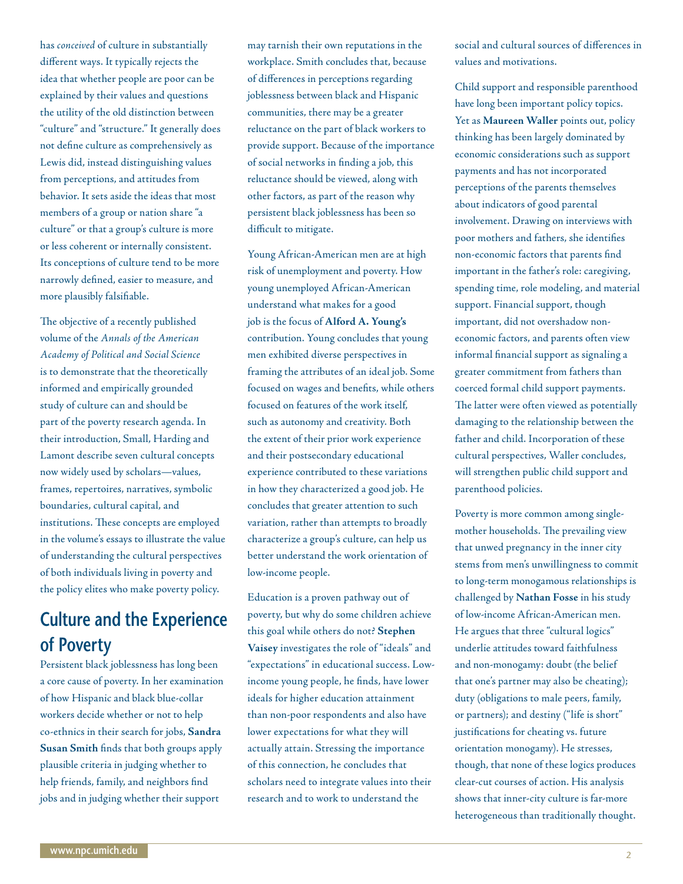has *conceived* of culture in substantially different ways. It typically rejects the idea that whether people are poor can be explained by their values and questions the utility of the old distinction between "culture" and "structure." It generally does not define culture as comprehensively as Lewis did, instead distinguishing values from perceptions, and attitudes from behavior. It sets aside the ideas that most members of a group or nation share "a culture" or that a group's culture is more or less coherent or internally consistent. Its conceptions of culture tend to be more narrowly defined, easier to measure, and more plausibly falsifiable.

The objective of a recently published volume of the *Annals of the American Academy of Political and Social Science* is to demonstrate that the theoretically informed and empirically grounded study of culture can and should be part of the poverty research agenda. In their introduction, Small, Harding and Lamont describe seven cultural concepts now widely used by scholars—values, frames, repertoires, narratives, symbolic boundaries, cultural capital, and institutions. These concepts are employed in the volume's essays to illustrate the value of understanding the cultural perspectives of both individuals living in poverty and the policy elites who make poverty policy.

# **Culture and the Experience of Poverty**

Persistent black joblessness has long been a core cause of poverty. In her examination of how Hispanic and black blue-collar workers decide whether or not to help co-ethnics in their search for jobs, **Sandra Susan Smith** finds that both groups apply plausible criteria in judging whether to help friends, family, and neighbors find jobs and in judging whether their support

may tarnish their own reputations in the workplace. Smith concludes that, because of differences in perceptions regarding joblessness between black and Hispanic communities, there may be a greater reluctance on the part of black workers to provide support. Because of the importance of social networks in finding a job, this reluctance should be viewed, along with other factors, as part of the reason why persistent black joblessness has been so difficult to mitigate.

Young African-American men are at high risk of unemployment and poverty. How young unemployed African-American understand what makes for a good job is the focus of **Alford A. Young's** contribution. Young concludes that young men exhibited diverse perspectives in framing the attributes of an ideal job. Some focused on wages and benefits, while others focused on features of the work itself, such as autonomy and creativity. Both the extent of their prior work experience and their postsecondary educational experience contributed to these variations in how they characterized a good job. He concludes that greater attention to such variation, rather than attempts to broadly characterize a group's culture, can help us better understand the work orientation of low-income people.

Education is a proven pathway out of poverty, but why do some children achieve this goal while others do not? **Stephen Vaisey** investigates the role of "ideals" and "expectations" in educational success. Lowincome young people, he finds, have lower ideals for higher education attainment than non-poor respondents and also have lower expectations for what they will actually attain. Stressing the importance of this connection, he concludes that scholars need to integrate values into their research and to work to understand the

social and cultural sources of differences in values and motivations.

Child support and responsible parenthood have long been important policy topics. Yet as **Maureen Waller** points out, policy thinking has been largely dominated by economic considerations such as support payments and has not incorporated perceptions of the parents themselves about indicators of good parental involvement. Drawing on interviews with poor mothers and fathers, she identifies non-economic factors that parents find important in the father's role: caregiving, spending time, role modeling, and material support. Financial support, though important, did not overshadow noneconomic factors, and parents often view informal financial support as signaling a greater commitment from fathers than coerced formal child support payments. The latter were often viewed as potentially damaging to the relationship between the father and child. Incorporation of these cultural perspectives, Waller concludes, will strengthen public child support and parenthood policies.

Poverty is more common among singlemother households. The prevailing view that unwed pregnancy in the inner city stems from men's unwillingness to commit to long-term monogamous relationships is challenged by **Nathan Fosse** in his study of low-income African-American men. He argues that three "cultural logics" underlie attitudes toward faithfulness and non-monogamy: doubt (the belief that one's partner may also be cheating); duty (obligations to male peers, family, or partners); and destiny ("life is short" justifications for cheating vs. future orientation monogamy). He stresses, though, that none of these logics produces clear-cut courses of action. His analysis shows that inner-city culture is far-more heterogeneous than traditionally thought.